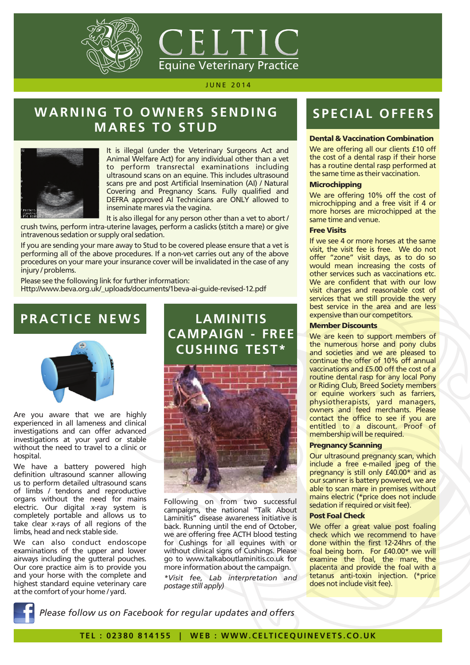



## WARNING TO OWNERS SENDING **MARES TO STUD**



It is illegal (under the Veterinary Surgeons Act and Animal Welfare Act) for any individual other than a vet to perform transrectal examinations including ultrasound scans on an equine. This includes ultrasound scans pre and post Artificial Insemination (AI) / Natural Covering and Pregnancy Scans. Fully qualified and DEFRA approved AI Technicians are ONLY allowed to inseminate mares via the vagina.

It is also illegal for any person other than a vet to abort / crush twins, perform intra-uterine lavages, perform a caslicks (stitch a mare) or give intravenous sedation or supply oral sedation.

If you are sending your mare away to Stud to be covered please ensure that a vet is performing all of the above procedures. If a non-vet carries out any of the above procedures on your mare your insurance cover will be invalidated in the case of any injury / problems.

Please see the following link for further information: Http://www.beva.org.uk/\_uploads/documents/1beva-ai-guide-revised-12.pdf

### **PRACTICE NEWS**



Are you aware that we are highly experienced in all lameness and clinical investigations and can offer advanced investigations at your yard or stable without the need to travel to a clinic or hospital.

We have a battery powered high definition ultrasound scanner allowing us to perform detailed ultrasound scans of limbs / tendons and reproductive organs without the need for mains electric. Our digital x-ray system is completely portable and allows us to take clear x-rays of all regions of the limbs, head and neck stable side.

We can also conduct endoscope examinations of the upper and lower airways including the gutteral pouches. Our core practice aim is to provide you and your horse with the complete and highest standard equine veterinary care at the comfort of your home / yard.

## **LAMINITIS CAMPAIGN - FREE CUSHING TEST\***



Following on from two successful campaigns, the national "Talk About Laminitis" disease awareness initiative is back. Running until the end of October, we are offering free ACTH blood testing for Cushings for all equines with or without clinical signs of Cushings. Pl ease go to www.talkaboutlaminitis.co.uk for more information about the campaign.

*\*Visit fee, Lab interpretation and postage still apply)*

# **SPE CIAL OF F ER S**

### Dental & Vaccination Combination

We are offering all our clients £10 off the cost of a dental rasp if their horse has a routine dental rasp performed at the same time as their vaccination.

#### **Microchipping**

We are offering 10% off the cost of microchipping and a free visit if 4 or more horses are microchipped at the same time and venue.

#### Free Visits

If we see 4 or more horses at the same visit, the visit fee is free. We do not offer "zone" visit days, as to do so would mean increasing the costs of other services such as vaccinations etc. We are confident that with our low visit charges and reasonable cost of services that we still provide the very best service in the area and are less expensive than our competitors.

#### Member Discounts

We are keen to support members of the numerous horse and pony clubs and societies and we are pleased to continue the offer of 10% off annual vaccinations and £5.00 off the cost of a routine dental rasp for any local Pony or Riding Club, Breed Society members or equine workers such as farriers, physiotherapists, yard managers, owners and feed merchants. Please contact the office to see if you are entitled to a discount. Proof of membership will be required.

#### Pregnancy Scanning

Our ultrasound pregnancy scan, which include a free e-mailed jpeg of the pregnancy is still only £40.00<sup>\*</sup> and as our scanner is battery powered, we are able to scan mare in premises without mains electric (\*price does not include sedation if required or visit fee).

### Post Foal Check

We offer a great value post foaling check which we recommend to have done within the first 12-24hrs of the foal being born. For £40.00\* we will examine the foal, the mare, the placenta and provide the foal with a tetanus anti-toxin injection. (\*price does not include visit fee).

*Please follow us on Facebook for regular updates and offers*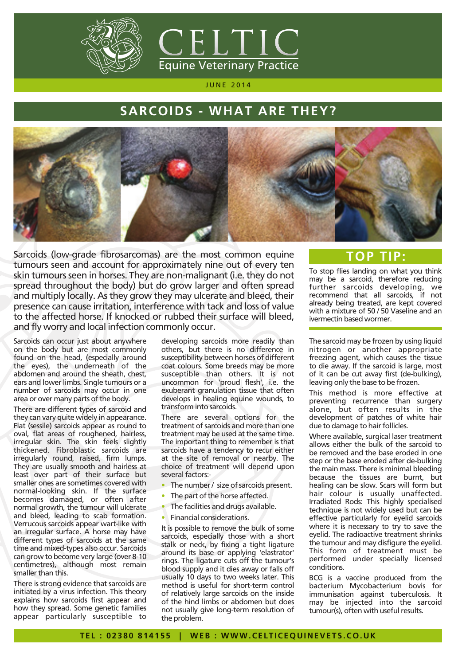



### **SARCOIDS - WHAT ARE THEY?**



Sarcoids (low-grade fibrosarcomas) are the most common equine tumours seen and account for approximately nine out of every ten skin tumours seen in horses. They are non-malignant (i.e. they do not spread throughout the body) but do grow larger and often spread and multiply locally. As they grow they may ulcerate and bleed, their presence can cause irritation, interference with tack and loss of value to the affected horse. If knocked or rubbed their surface will bleed, and fly worry and local infection commonly occur.

Sarcoids can occur just about anywhere on the body but are most commonly found on the head, (especially around the eyes), the underneath of the abdomen and around the sheath, chest, ears and lower limbs. Single tumours or a number of sarcoids may occur in one area or over many parts of the body.

There are different types of sarcoid and they can vary quite widely in appearance. Flat (sessile) sarcoids appear as round to oval, flat areas of roughened, hairless, irregular skin. The skin feels slightly thickened. Fibroblastic sarcoids are irregularly round, raised, firm lumps. They are usually smooth and hairless at least over part of their surface but smaller ones are sometimes covered with normal-looking skin. If the surface becomes damaged, or often after normal growth, the tumour will ulcerate and bleed, leading to scab formation. Verrucous sarcoids appear wart-like with an irregular surface. A horse may have different types of sarcoids at the same time and mixed-types also occur. Sarcoids can grow to become very large (over 8-10 centimetres), although most remain smaller than this.

There is strong evidence that sarcoids are initiated by a virus infection. This theory explains how sarcoids first appear and how they spread. Some genetic families appear particularly susceptible to

developing sarcoids more readily than others, but there is no difference in susceptibility between horses of different coat colours. Some breeds may be more susceptible than others. It is not uncommon for 'proud flesh', i.e. the exuberant granulation tissue that often develops in healing equine wounds, to transform into sarcoids.

There are several options for the treatment of sarcoids and more than one treatment may be used at the same time. The important thing to remember is that sarcoids have a tendency to recur either at the site of removal or nearby. The choice of treatment will depend upon several factors:-

- The number / size of sarcoids present. •
- The part of the horse affected. •
- The facilities and drugs available. •
- Financial considerations.

It is possible to remove the bulk of some sarcoids, especially those with a short stalk or neck, by fixing a tight ligature around its base or applying 'elastrator' rings. The ligature cuts off the tumour's blood supply and it dies away or falls off usually 10 days to two weeks later. This method is useful for short-term control of relatively large sarcoids on the inside of the hind limbs or abdomen but does not usually give long-term resolution of the problem.

### **TOP TIP:**

To stop flies landing on what you think may be a sarcoid, therefore reducing further sarcoids developing, we recommend that all sarcoids, if not already being treated, are kept covered with a mixture of 50 / 50 Vaseline and an ivermectin based wormer.

The sarcoid may be frozen by using liquid nitrogen or another appropriate freezing agent, which causes the tissue to die away. If the sarcoid is large, most of it can be cut away first (de-bulking), leaving only the base to be frozen.

This method is more effective at preventing recurrence than surgery alone, but often results in the development of patches of white hair due to damage to hair follicles.

Where available, surgical laser treatment allows either the bulk of the sarcoid to be removed and the base eroded in one step or the base eroded after de-bulking the main mass. There is minimal bleeding because the tissues are burnt, but healing can be slow. Scars will form but hair colour is usually unaffected. Irradiated Rods: This highly specialised technique is not widely used but can be effective particularly for eyelid sarcoids where it is necessary to try to save the eyelid. The radioactive treatment shrinks the tumour and may disfigure the eyelid. This form of treatment must be performed under specially licensed conditions.

BCG is a vaccine produced from the bacterium Mycobacterium bovis for immunisation against tuberculosis. It may be injected into the sarcoid tumour(s), often with useful results.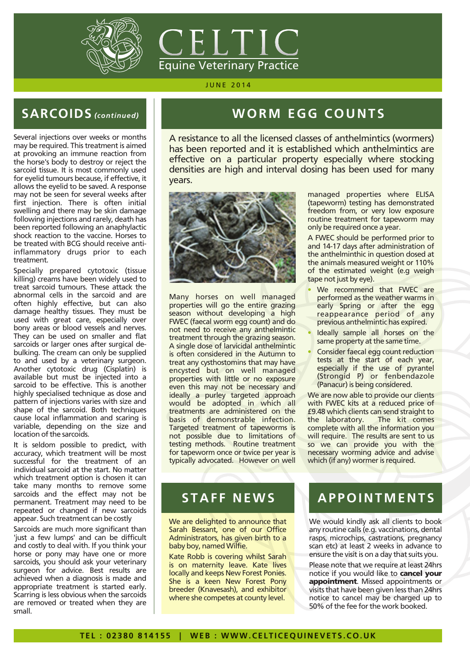



## **SARCOIDS** *(continued)*

Several injections over weeks or months may be required. This treatment is aimed at provoking an immune reaction from the horse's body to destroy or reject the sarcoid tissue. It is most commonly used for eyelid tumours because, if effective, it allows the eyelid to be saved. A response may not be seen for several weeks after first injection. There is often initial swelling and there may be skin damage following injections and rarely, death has been reported following an anaphylactic shock reaction to the vaccine. Horses to be treated with BCG should receive antiinflammatory drugs prior to each treatment.

Specially prepared cytotoxic (tissue killing) creams have been widely used to treat sarcoid tumours. These attack the abnormal cells in the sarcoid and are often highly effective, but can also damage healthy tissues. They must be used with great care, especially over bony areas or blood vessels and nerves. They can be used on smaller and flat sarcoids or larger ones after surgical debulking. The cream can only be supplied to and used by a veterinary surgeon. Another cytotoxic drug (Cisplatin) is available but must be injected into a sarcoid to be effective. This is another highly specialised technique as dose and pattern of injections varies with size and shape of the sarcoid. Both techniques cause local inflammation and scaring is variable, depending on the size and location of the sarcoids.

It is seldom possible to predict, with accuracy, which treatment will be most successful for the treatment of an individual sarcoid at the start. No matter which treatment option is chosen it can take many months to remove some sarcoids and the effect may not be permanent. Treatment may need to be repeated or changed if new sarcoids appear. Such treatment can be costly

Sarcoids are much more significant than 'just a few lumps' and can be difficult and costly to deal with. If you think your horse or pony may have one or more sarcoids, you should ask your veterinary surgeon for advice. Best results are achieved when a diagnosis is made and appropriate treatment is started early. Scarring is less obvious when the sarcoids are removed or treated when they are small.

## WORM EGG COUNTS

A resistance to all the licensed classes of anthelmintics (wormers) has been reported and it is established which anthelmintics are effective on a particular property especially where stocking densities are high and interval dosing has been used for many years.

•



Many horses on well managed properties will go the entire grazing season without developing a high FWEC (faecal worm egg count) and do not need to receive any anthelmintic treatment through the grazing season. A single dose of larvicidal anthelmintic is often considered in the Autumn to treat any cysthostomins that may have encysted but on well managed properties with little or no exposure even this may not be necessary and ideally a purley targeted approach would be adopted in which all treatments are administered on the basis of demonstrable infection. Targeted treatment of tapeworms is not possible due to limitations of testing methods. Routine treatment for tapeworm once or twice per year is typically advocated. However on well

managed properties where ELISA (tapeworm) testing has demonstrated freedom from, or very low exposure routine treatment for tapeworm may only be required once a year.

A FWEC should be performed prior to and 14-17 days after administration of the anthelminthic in question dosed at the animals measured weight or 110% of the estimated weight (e.g weigh tape not just by eye).

- We recommend that FWEC are performed as the weather warms in early Spring or after the egg reappearance period of any previous anthelmintic has expired. •
- Ideally sample all horses on the same property at the same time.
- Consider faecal egg count reduction tests at the start of each year, especially if the use of pyrantel (Strongid P) or fenbendazole (Panacur) is being considered. •

We are now able to provide our clients with FWEC kits at a reduced price of £9.48 which clients can send straight to the laboratory. complete with all the information you will require. The results are sent to us so we can provide you with the necessary worming advice and advise which (if any) wormer is required.

### **STAFF NEWS**

We are delighted to announce that Sarah Bessant, one of our Office Administrators, has given birth to a baby boy, named Wilfie.

Kate Robb is covering whilst Sarah is on maternity leave. Kate lives locally and keeps New Forest Ponies. She is a keen New Forest Pony breeder (Knavesash), and exhibitor where she competes at county level.

### **APPOI NTMENTS**

We would kindly ask all clients to book any routine calls (e.g. vaccinations, dental rasps, microchips, castrations, pregnancy scan etc) at least 2 weeks in advance to ensure the visit is on a day that suits you.

Please note that we require at least 24hrs notice if you would like to **cancel your** appointment. Missed appointments or visits that have been given less than 24hrs notice to cancel may be charged up to 50% of the fee for the work booked.